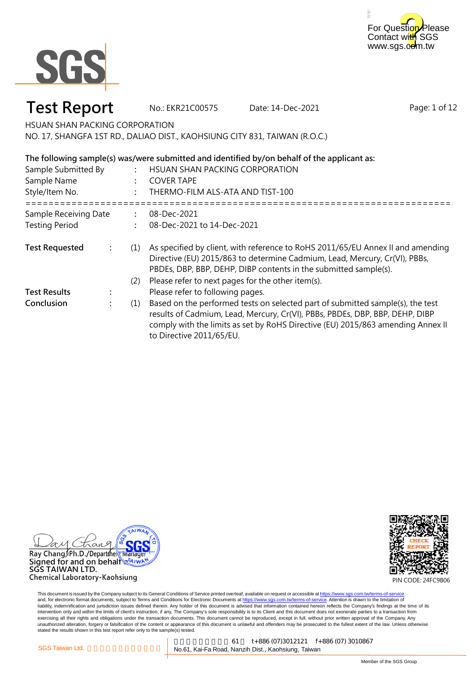



### **Test Report** No.: EKR21C00575 Date: 14-Dec-2021

Page: 1 of 12

HSUAN SHAN PACKING CORPORATION

NO. 17, SHANGFA 1ST RD., DALIAO DIST., KAOHSIUNG CITY 831, TAIWAN (R.O.C.)

#### **: : :** ===================================================================================================== HSUAN SHAN PACKING CORPORATION COVER TAPE THERMO-FILM ALS-ATA AND TIST-100 Sample Submitted By **The following sample(s) was/were submitted and identified by/on behalf of the applicant as:** Sample Name Style/Item No.

| Sample Receiving Date |  |     | 08-Dec-2021                                                                                                                                                                                                                                                                   |
|-----------------------|--|-----|-------------------------------------------------------------------------------------------------------------------------------------------------------------------------------------------------------------------------------------------------------------------------------|
| <b>Testing Period</b> |  |     | 08-Dec-2021 to 14-Dec-2021                                                                                                                                                                                                                                                    |
| <b>Test Requested</b> |  | (1) | As specified by client, with reference to RoHS 2011/65/EU Annex II and amending<br>Directive (EU) 2015/863 to determine Cadmium, Lead, Mercury, Cr(VI), PBBs,<br>PBDEs, DBP, BBP, DEHP, DIBP contents in the submitted sample(s).                                             |
|                       |  | (2) | Please refer to next pages for the other item(s).                                                                                                                                                                                                                             |
| <b>Test Results</b>   |  |     | Please refer to following pages.                                                                                                                                                                                                                                              |
| Conclusion            |  | (1) | Based on the performed tests on selected part of submitted sample(s), the test<br>results of Cadmium, Lead, Mercury, Cr(VI), PBBs, PBDEs, DBP, BBP, DEHP, DIBP<br>comply with the limits as set by RoHS Directive (EU) 2015/863 amending Annex II<br>to Directive 2011/65/EU. |



SĞS TAIWAN LTD. Chemical Laboratory-Kaohsiung



PIN CODE: 24FC9B06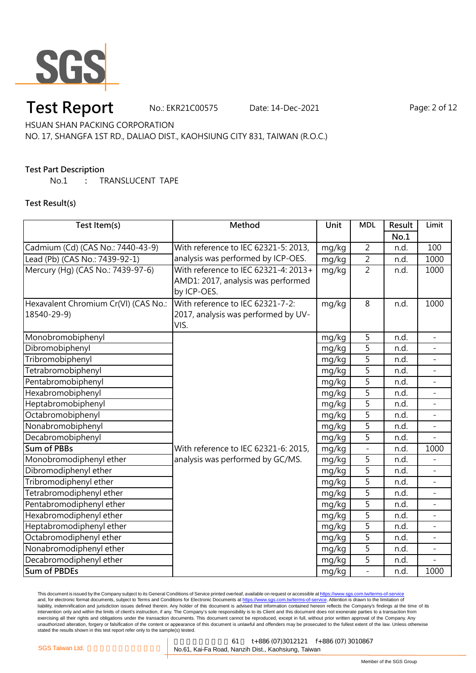

### **Test Report** No.: EKR21C00575 Date: 14-Dec-2021 Page: 2 of 12

HSUAN SHAN PACKING CORPORATION

NO. 17, SHANGFA 1ST RD., DALIAO DIST., KAOHSIUNG CITY 831, TAIWAN (R.O.C.)

#### **Test Part Description**

No.1 **:** TRANSLUCENT TAPE

**Test Result(s)**

| Test Item(s)                         | Method                               | <b>Unit</b> | <b>MDL</b>               | Result | Limit                    |
|--------------------------------------|--------------------------------------|-------------|--------------------------|--------|--------------------------|
|                                      |                                      |             |                          | No.1   |                          |
| Cadmium (Cd) (CAS No.: 7440-43-9)    | With reference to IEC 62321-5: 2013, | mg/kg       | $\overline{2}$           | n.d.   | 100                      |
| Lead (Pb) (CAS No.: 7439-92-1)       | analysis was performed by ICP-OES.   | mg/kg       | $\overline{2}$           | n.d.   | 1000                     |
| Mercury (Hg) (CAS No.: 7439-97-6)    | With reference to IEC 62321-4: 2013+ | mg/kg       | $\overline{2}$           | n.d.   | 1000                     |
|                                      | AMD1: 2017, analysis was performed   |             |                          |        |                          |
|                                      | by ICP-OES.                          |             |                          |        |                          |
| Hexavalent Chromium Cr(VI) (CAS No.: | With reference to IEC 62321-7-2:     | mg/kg       | 8                        | n.d.   | 1000                     |
| 18540-29-9)                          | 2017, analysis was performed by UV-  |             |                          |        |                          |
|                                      | VIS.                                 |             |                          |        |                          |
| Monobromobiphenyl                    |                                      | mg/kg       | 5                        | n.d.   | $\overline{a}$           |
| Dibromobiphenyl                      |                                      | mg/kg       | 5                        | n.d.   |                          |
| Tribromobiphenyl                     |                                      | mg/kg       | 5                        | n.d.   |                          |
| Tetrabromobiphenyl                   |                                      | mg/kg       | 5                        | n.d.   |                          |
| Pentabromobiphenyl                   |                                      | mg/kg       | 5                        | n.d.   |                          |
| Hexabromobiphenyl                    |                                      | mg/kg       | $\overline{5}$           | n.d.   | $\overline{a}$           |
| Heptabromobiphenyl                   |                                      | mg/kg       | $\overline{5}$           | n.d.   | $\overline{a}$           |
| Octabromobiphenyl                    |                                      | mg/kg       | 5                        | n.d.   |                          |
| Nonabromobiphenyl                    |                                      | mg/kg       | 5                        | n.d.   |                          |
| Decabromobiphenyl                    |                                      | mg/kg       | 5                        | n.d.   |                          |
| <b>Sum of PBBs</b>                   | With reference to IEC 62321-6: 2015, | mg/kg       | $\overline{\phantom{0}}$ | n.d.   | 1000                     |
| Monobromodiphenyl ether              | analysis was performed by GC/MS.     | mg/kg       | 5                        | n.d.   |                          |
| Dibromodiphenyl ether                |                                      | mg/kg       | $\overline{5}$           | n.d.   |                          |
| Tribromodiphenyl ether               |                                      | mg/kg       | 5                        | n.d.   |                          |
| Tetrabromodiphenyl ether             |                                      | mg/kg       | 5                        | n.d.   | $\overline{a}$           |
| Pentabromodiphenyl ether             |                                      | mg/kg       | 5                        | n.d.   |                          |
| Hexabromodiphenyl ether              |                                      | mg/kg       | 5                        | n.d.   |                          |
| Heptabromodiphenyl ether             |                                      | mg/kg       | 5                        | n.d.   | $\overline{\phantom{0}}$ |
| Octabromodiphenyl ether              |                                      | mg/kg       | 5                        | n.d.   |                          |
| Nonabromodiphenyl ether              |                                      | mg/kg       | 5                        | n.d.   |                          |
| Decabromodiphenyl ether              |                                      | mg/kg       | 5                        | n.d.   |                          |
| <b>Sum of PBDEs</b>                  |                                      | mg/kg       | $\overline{a}$           | n.d.   | 1000                     |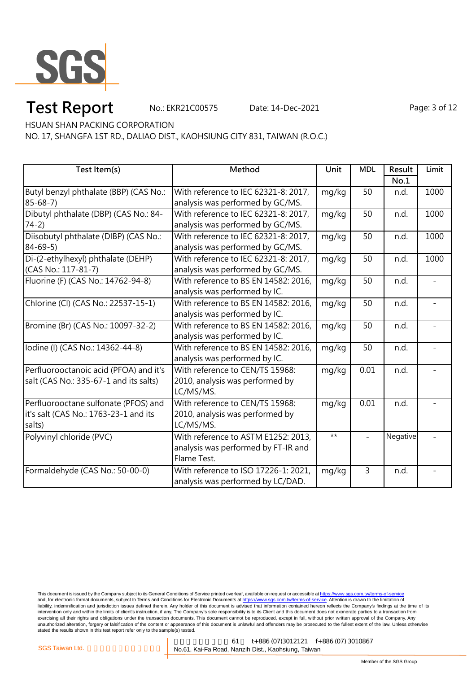

### **Test Report** No.: EKR21C00575 Date: 14-Dec-2021 Page: 3 of 12

HSUAN SHAN PACKING CORPORATION

NO. 17, SHANGFA 1ST RD., DALIAO DIST., KAOHSIUNG CITY 831, TAIWAN (R.O.C.)

| Test Item(s)                           | Method                               | Unit  | <b>MDL</b> | Result   | Limit |
|----------------------------------------|--------------------------------------|-------|------------|----------|-------|
|                                        |                                      |       |            | No.1     |       |
| Butyl benzyl phthalate (BBP) (CAS No.: | With reference to IEC 62321-8: 2017, | mg/kg | 50         | n.d.     | 1000  |
| $85 - 68 - 7$                          | analysis was performed by GC/MS.     |       |            |          |       |
| Dibutyl phthalate (DBP) (CAS No.: 84-  | With reference to IEC 62321-8: 2017, | mg/kg | 50         | n.d.     | 1000  |
| $74-2)$                                | analysis was performed by GC/MS.     |       |            |          |       |
| Diisobutyl phthalate (DIBP) (CAS No.:  | With reference to IEC 62321-8: 2017, | mg/kg | 50         | n.d.     | 1000  |
| $84 - 69 - 5$                          | analysis was performed by GC/MS.     |       |            |          |       |
| Di-(2-ethylhexyl) phthalate (DEHP)     | With reference to IEC 62321-8: 2017, | mg/kg | 50         | n.d.     | 1000  |
| (CAS No.: 117-81-7)                    | analysis was performed by GC/MS.     |       |            |          |       |
| Fluorine (F) (CAS No.: 14762-94-8)     | With reference to BS EN 14582: 2016, | mg/kg | 50         | n.d.     |       |
|                                        | analysis was performed by IC.        |       |            |          |       |
| Chlorine (Cl) (CAS No.: 22537-15-1)    | With reference to BS EN 14582: 2016, | mg/kg | 50         | n.d.     |       |
|                                        | analysis was performed by IC.        |       |            |          |       |
| Bromine (Br) (CAS No.: 10097-32-2)     | With reference to BS EN 14582: 2016, | mg/kg | 50         | n.d.     |       |
|                                        | analysis was performed by IC.        |       |            |          |       |
| lodine (I) (CAS No.: 14362-44-8)       | With reference to BS EN 14582: 2016, | mg/kg | 50         | n.d.     |       |
|                                        | analysis was performed by IC.        |       |            |          |       |
| Perfluorooctanoic acid (PFOA) and it's | With reference to CEN/TS 15968:      | mg/kg | 0.01       | n.d.     |       |
| salt (CAS No.: 335-67-1 and its salts) | 2010, analysis was performed by      |       |            |          |       |
|                                        | LC/MS/MS.                            |       |            |          |       |
| Perfluorooctane sulfonate (PFOS) and   | With reference to CEN/TS 15968:      | mg/kg | 0.01       | n.d.     |       |
| it's salt (CAS No.: 1763-23-1 and its  | 2010, analysis was performed by      |       |            |          |       |
| salts)                                 | LC/MS/MS.                            |       |            |          |       |
| Polyvinyl chloride (PVC)               | With reference to ASTM E1252: 2013,  | $***$ |            | Negative |       |
|                                        | analysis was performed by FT-IR and  |       |            |          |       |
|                                        | Flame Test.                          |       |            |          |       |
| Formaldehyde (CAS No.: 50-00-0)        | With reference to ISO 17226-1: 2021, | mg/kg | 3          | n.d.     |       |
|                                        | analysis was performed by LC/DAD.    |       |            |          |       |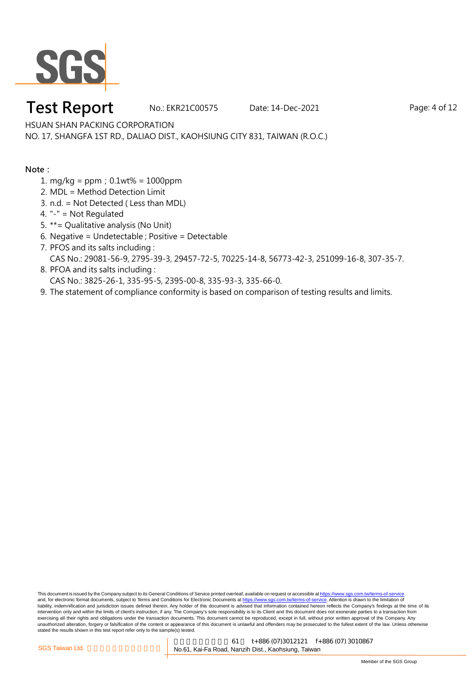

#### **Test Report** No.: EKR21C00575 Date: 14-Dec-2021 Page: 4 of 12

HSUAN SHAN PACKING CORPORATION

NO. 17, SHANGFA 1ST RD., DALIAO DIST., KAOHSIUNG CITY 831, TAIWAN (R.O.C.)

#### **Note:**

- 1. mg/kg = ppm;0.1wt% = 1000ppm
- 2. MDL = Method Detection Limit
- 3. n.d. = Not Detected ( Less than MDL)
- 4. "-" = Not Regulated
- 5. \*\*= Qualitative analysis (No Unit)
- 6. Negative = Undetectable ; Positive = Detectable
- 7. PFOS and its salts including : CAS No.: 29081-56-9, 2795-39-3, 29457-72-5, 70225-14-8, 56773-42-3, 251099-16-8, 307-35-7.
- 8. PFOA and its salts including : CAS No.: 3825-26-1, 335-95-5, 2395-00-8, 335-93-3, 335-66-0.
- 9. The statement of compliance conformity is based on comparison of testing results and limits.

This document is issued by the Company subject to its General Conditions of Service printed overleaf, available on request or accessible at https://www.sgs.com.tw/terms-of-service and, for electronic format documents, subject to Terms and Conditions for Electronic Documents at https://www.sgs.com.tw/terms-of-service. Attention is drawn to the limitation of liability, indemnification and jurisdiction issues defined therein. Any holder of this document is advised that information contained hereon reflects the Company's findings at the time of its intervention only and within the limits of client's instruction, if any. The Company's sole responsibility is to its Client and this document does not exonerate parties to a transaction from exercising all their rights and obligations under the transaction documents. This document cannot be reproduced, except in full, without prior written approval of the Company. Any<br>unauthorized alteration, forgery or falsif stated the results shown in this test report refer only to the sample(s) tested.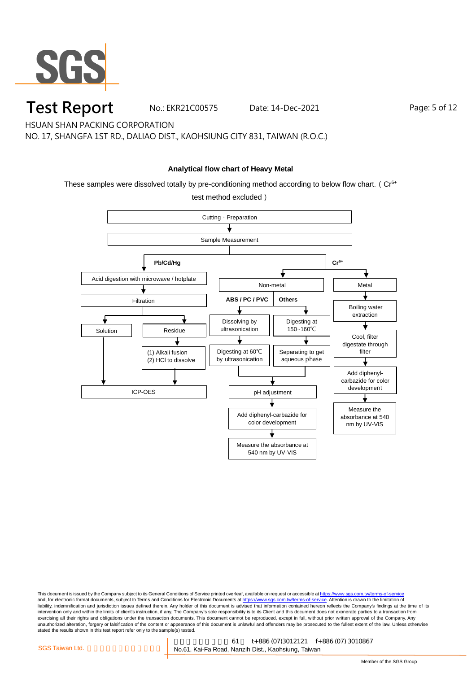

**Test Report** No.: EKR21C00575 Date: 14-Dec-2021 Page: 5 of 12

HSUAN SHAN PACKING CORPORATION

NO. 17, SHANGFA 1ST RD., DALIAO DIST., KAOHSIUNG CITY 831, TAIWAN (R.O.C.)

#### **Analytical flow chart of Heavy Metal**

These samples were dissolved totally by pre-conditioning method according to below flow chart. ( $Cr<sup>6+</sup>$ 

test method excluded)

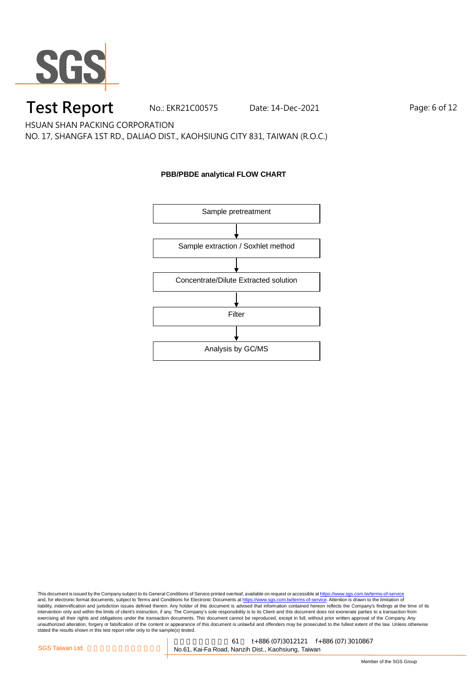

### **Test Report** No.: EKR21C00575 Date: 14-Dec-2021 Page: 6 of 12

HSUAN SHAN PACKING CORPORATION

NO. 17, SHANGFA 1ST RD., DALIAO DIST., KAOHSIUNG CITY 831, TAIWAN (R.O.C.)

#### **PBB/PBDE analytical FLOW CHART**

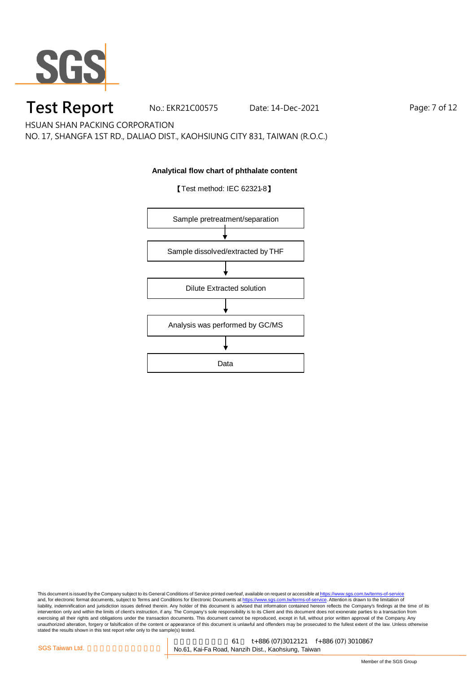

## **Test Report** No.: EKR21C00575 Date: 14-Dec-2021 Page: 7 of 12

HSUAN SHAN PACKING CORPORATION

NO. 17, SHANGFA 1ST RD., DALIAO DIST., KAOHSIUNG CITY 831, TAIWAN (R.O.C.)

#### **Analytical flow chart of phthalate content**



【Test method: IEC 62321-8】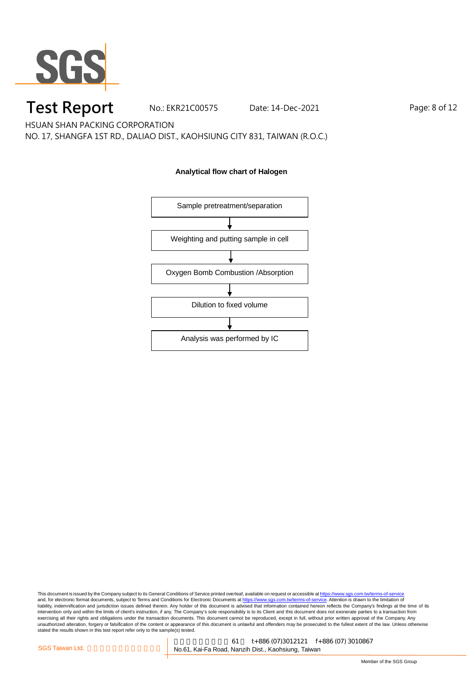

## **Test Report** No.: EKR21C00575 Date: 14-Dec-2021 Page: 8 of 12

HSUAN SHAN PACKING CORPORATION

NO. 17, SHANGFA 1ST RD., DALIAO DIST., KAOHSIUNG CITY 831, TAIWAN (R.O.C.)

#### **Analytical flow chart of Halogen**

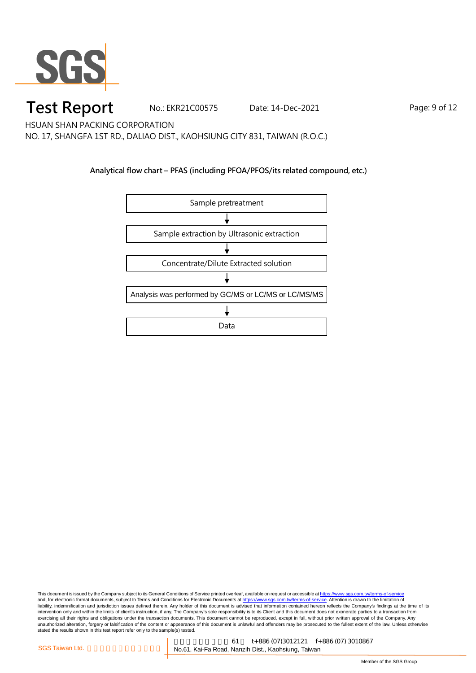

#### **Test Report** No.: EKR21C00575 Date: 14-Dec-2021 Page: 9 of 12

HSUAN SHAN PACKING CORPORATION

NO. 17, SHANGFA 1ST RD., DALIAO DIST., KAOHSIUNG CITY 831, TAIWAN (R.O.C.)

#### **Analytical flow chart – PFAS (including PFOA/PFOS/its related compound, etc.)**

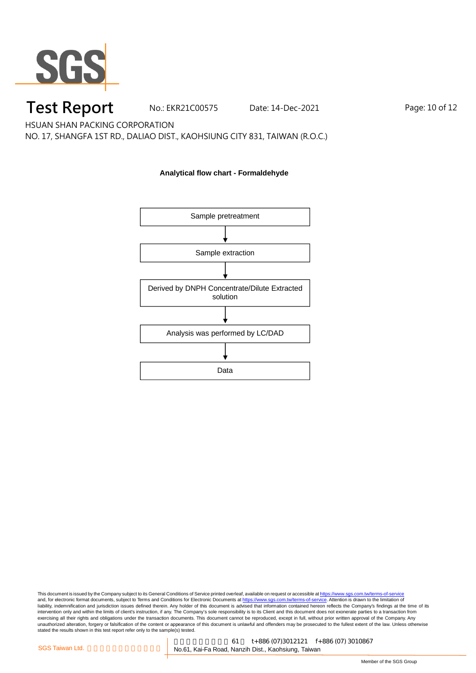

### **Test Report** No.: EKR21C00575 Date: 14-Dec-2021 Page: 10 of 12

HSUAN SHAN PACKING CORPORATION

NO. 17, SHANGFA 1ST RD., DALIAO DIST., KAOHSIUNG CITY 831, TAIWAN (R.O.C.)

# Sample pretreatment Sample extraction Derived by DNPH Concentrate/Dilute Extracted solution Analysis was performed by LC/DAD Data

**Analytical flow chart - Formaldehyde**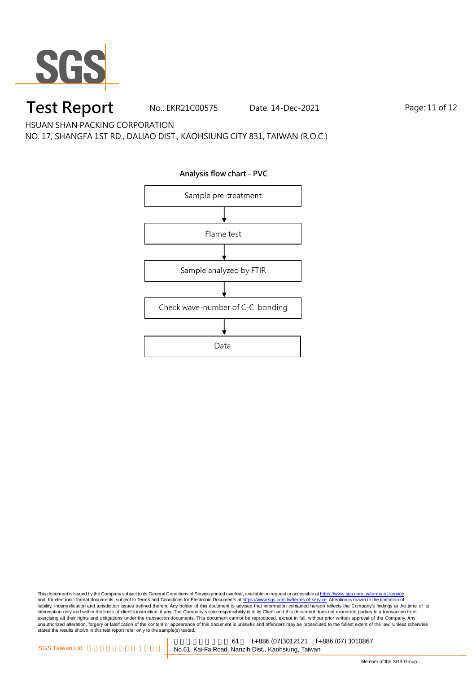

## **Test Report** No.: EKR21C00575 Date: 14-Dec-2021 Page: 11 of 12

HSUAN SHAN PACKING CORPORATION

NO. 17, SHANGFA 1ST RD., DALIAO DIST., KAOHSIUNG CITY 831, TAIWAN (R.O.C.)